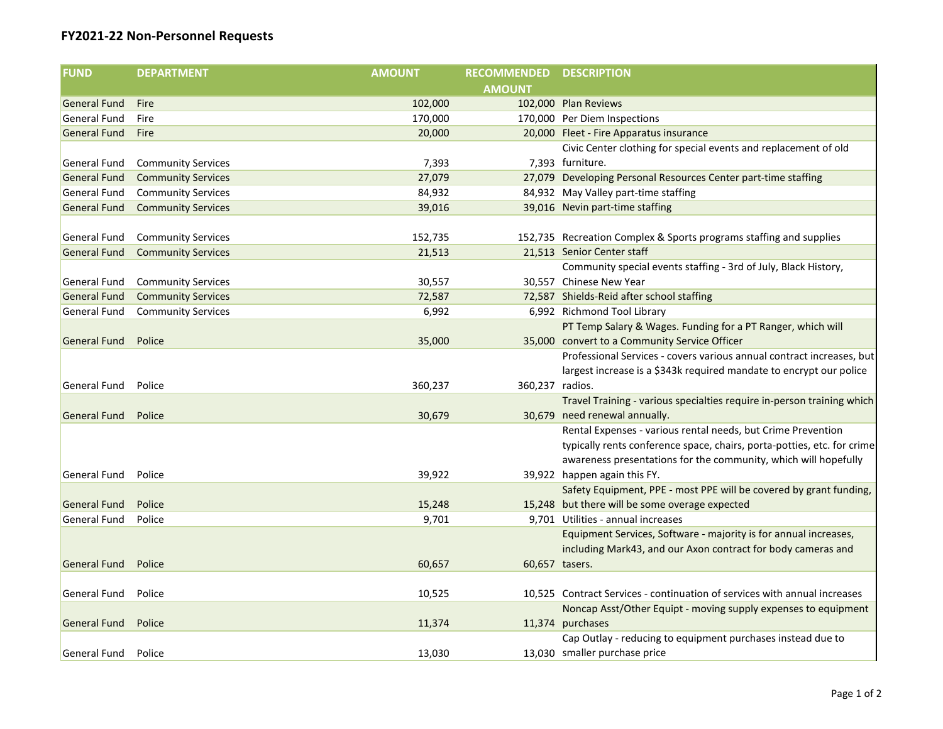## **FY2021-22 Non-Personnel Requests**

| <b>AMOUNT</b><br><b>General Fund</b><br>102,000<br>102,000 Plan Reviews<br>Fire                                            |  |
|----------------------------------------------------------------------------------------------------------------------------|--|
|                                                                                                                            |  |
|                                                                                                                            |  |
| <b>General Fund</b><br>170,000<br>170,000 Per Diem Inspections<br>Fire                                                     |  |
| 20,000<br><b>General Fund</b><br>20,000 Fleet - Fire Apparatus insurance<br>Fire                                           |  |
| Civic Center clothing for special events and replacement of old                                                            |  |
| 7,393<br>General Fund<br>7,393 furniture.<br><b>Community Services</b>                                                     |  |
| 27,079<br>27,079 Developing Personal Resources Center part-time staffing<br>General Fund<br><b>Community Services</b>      |  |
| 84,932 May Valley part-time staffing<br>84,932<br>General Fund<br><b>Community Services</b>                                |  |
| 39,016 Nevin part-time staffing<br>General Fund<br><b>Community Services</b><br>39,016                                     |  |
|                                                                                                                            |  |
| General Fund<br><b>Community Services</b><br>152,735<br>152,735 Recreation Complex & Sports programs staffing and supplies |  |
| 21,513 Senior Center staff<br><b>General Fund</b><br><b>Community Services</b><br>21,513                                   |  |
| Community special events staffing - 3rd of July, Black History,                                                            |  |
| 30,557 Chinese New Year<br>General Fund<br><b>Community Services</b><br>30,557                                             |  |
| 72,587 Shields-Reid after school staffing<br><b>General Fund</b><br><b>Community Services</b><br>72,587                    |  |
| 6,992<br>General Fund<br><b>Community Services</b><br>6,992 Richmond Tool Library                                          |  |
| PT Temp Salary & Wages. Funding for a PT Ranger, which will                                                                |  |
| 35,000 convert to a Community Service Officer<br><b>General Fund</b><br>Police<br>35,000                                   |  |
| Professional Services - covers various annual contract increases, but                                                      |  |
| largest increase is a \$343k required mandate to encrypt our police                                                        |  |
| 360,237 radios.<br>General Fund<br>Police<br>360,237                                                                       |  |
| Travel Training - various specialties require in-person training which                                                     |  |
| Police<br>30,679<br>30,679 need renewal annually.<br><b>General Fund</b>                                                   |  |
| Rental Expenses - various rental needs, but Crime Prevention                                                               |  |
| typically rents conference space, chairs, porta-potties, etc. for crime                                                    |  |
| awareness presentations for the community, which will hopefully                                                            |  |
| General Fund<br>Police<br>39,922<br>39,922 happen again this FY.                                                           |  |
| Safety Equipment, PPE - most PPE will be covered by grant funding,                                                         |  |
| 15,248<br>15,248 but there will be some overage expected<br><b>General Fund</b><br>Police                                  |  |
| 9,701<br>9,701 Utilities - annual increases<br>General Fund<br>Police                                                      |  |
| Equipment Services, Software - majority is for annual increases,                                                           |  |
| including Mark43, and our Axon contract for body cameras and                                                               |  |
| <b>General Fund</b><br>Police<br>60,657<br>60,657 tasers.                                                                  |  |
|                                                                                                                            |  |
| 10,525 Contract Services - continuation of services with annual increases<br>General Fund<br>10,525<br>Police              |  |
| Noncap Asst/Other Equipt - moving supply expenses to equipment                                                             |  |
| 11,374<br>11,374 purchases<br><b>General Fund</b><br>Police                                                                |  |
| Cap Outlay - reducing to equipment purchases instead due to                                                                |  |
| 13,030 smaller purchase price<br>13,030<br>General Fund<br>Police                                                          |  |